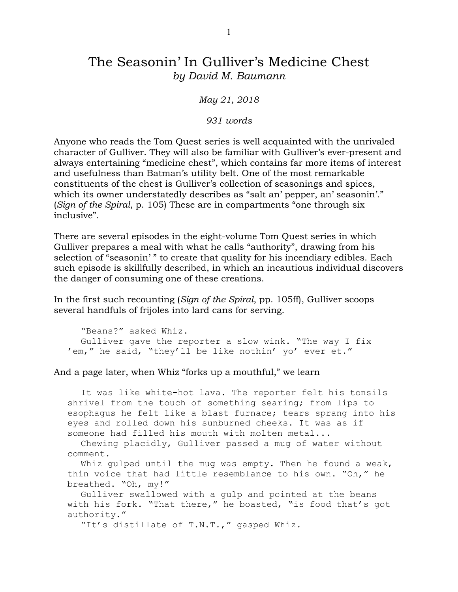## The Seasonin' In Gulliver's Medicine Chest *by David M. Baumann*

*May 21, 2018*

*931 words* 

Anyone who reads the Tom Quest series is well acquainted with the unrivaled character of Gulliver. They will also be familiar with Gulliver's ever-present and always entertaining "medicine chest", which contains far more items of interest and usefulness than Batman's utility belt. One of the most remarkable constituents of the chest is Gulliver's collection of seasonings and spices, which its owner understatedly describes as "salt an' pepper, an' seasonin'." (*Sign of the Spiral*, p. 105) These are in compartments "one through six inclusive".

There are several episodes in the eight-volume Tom Quest series in which Gulliver prepares a meal with what he calls "authority", drawing from his selection of "seasonin'" to create that quality for his incendiary edibles. Each such episode is skillfully described, in which an incautious individual discovers the danger of consuming one of these creations.

In the first such recounting (*Sign of the Spiral*, pp. 105ff), Gulliver scoops several handfuls of frijoles into lard cans for serving.

"Beans?" asked Whiz. Gulliver gave the reporter a slow wink. "The way I fix 'em," he said, "they'll be like nothin' yo' ever et."

And a page later, when Whiz "forks up a mouthful," we learn

It was like white-hot lava. The reporter felt his tonsils shrivel from the touch of something searing; from lips to esophagus he felt like a blast furnace; tears sprang into his eyes and rolled down his sunburned cheeks. It was as if someone had filled his mouth with molten metal...

Chewing placidly, Gulliver passed a mug of water without comment.

Whiz gulped until the mug was empty. Then he found a weak, thin voice that had little resemblance to his own. "Oh," he breathed. "Oh, my!"

Gulliver swallowed with a gulp and pointed at the beans with his fork. "That there," he boasted, "is food that's got authority."

"It's distillate of T.N.T.," gasped Whiz.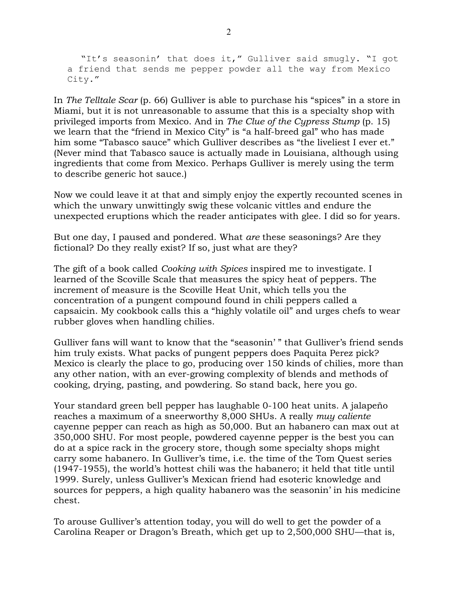"It's seasonin' that does it," Gulliver said smugly. "I got a friend that sends me pepper powder all the way from Mexico City."

In *The Telltale Scar* (p. 66) Gulliver is able to purchase his "spices" in a store in Miami, but it is not unreasonable to assume that this is a specialty shop with privileged imports from Mexico. And in *The Clue of the Cypress Stump* (p. 15) we learn that the "friend in Mexico City" is "a half-breed gal" who has made him some "Tabasco sauce" which Gulliver describes as "the liveliest I ever et." (Never mind that Tabasco sauce is actually made in Louisiana, although using ingredients that come from Mexico. Perhaps Gulliver is merely using the term to describe generic hot sauce.)

Now we could leave it at that and simply enjoy the expertly recounted scenes in which the unwary unwittingly swig these volcanic vittles and endure the unexpected eruptions which the reader anticipates with glee. I did so for years.

But one day, I paused and pondered. What *are* these seasonings? Are they fictional? Do they really exist? If so, just what are they?

The gift of a book called *Cooking with Spices* inspired me to investigate. I learned of the Scoville Scale that measures the spicy heat of peppers. The increment of measure is the Scoville Heat Unit, which tells you the concentration of a pungent compound found in chili peppers called a capsaicin. My cookbook calls this a "highly volatile oil" and urges chefs to wear rubber gloves when handling chilies.

Gulliver fans will want to know that the "seasonin' " that Gulliver's friend sends him truly exists. What packs of pungent peppers does Paquita Perez pick? Mexico is clearly the place to go, producing over 150 kinds of chilies, more than any other nation, with an ever-growing complexity of blends and methods of cooking, drying, pasting, and powdering. So stand back, here you go.

Your standard green bell pepper has laughable 0-100 heat units. A jalapeño reaches a maximum of a sneerworthy 8,000 SHUs. A really *muy caliente* cayenne pepper can reach as high as 50,000. But an habanero can max out at 350,000 SHU. For most people, powdered cayenne pepper is the best you can do at a spice rack in the grocery store, though some specialty shops might carry some habanero. In Gulliver's time, i.e. the time of the Tom Quest series (1947-1955), the world's hottest chili was the habanero; it held that title until 1999. Surely, unless Gulliver's Mexican friend had esoteric knowledge and sources for peppers, a high quality habanero was the seasonin' in his medicine chest.

To arouse Gulliver's attention today, you will do well to get the powder of a Carolina Reaper or Dragon's Breath, which get up to 2,500,000 SHU—that is,